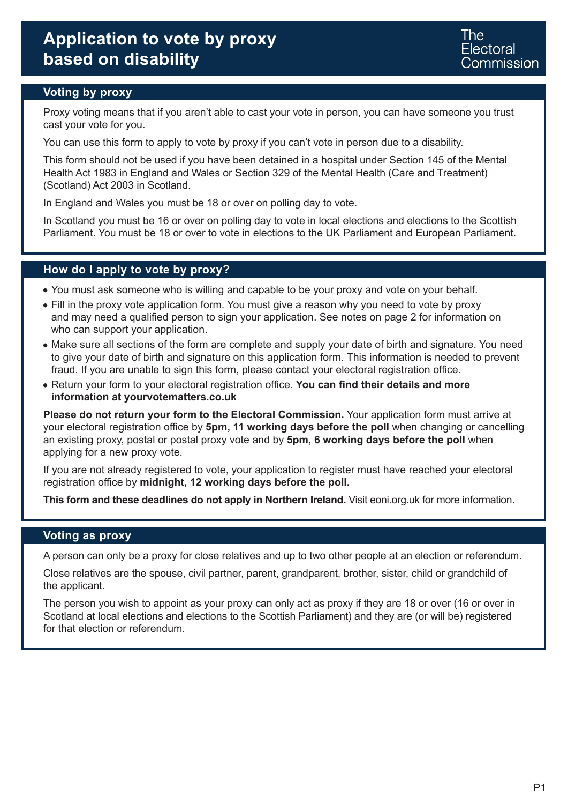# **Voting by proxy**

Proxy voting means that if you aren't able to cast your vote in person, you can have someone you trust cast your vote for you.

You can use this form to apply to vote by proxy if you can't vote in person due to a disability.

This form should not be used if you have been detained in a hospital under Section 145 of the Mental Health Act 1983 in England and Wales or Section 329 of the Mental Health (Care and Treatment) (Scotland) Act 2003 in Scotland.

In England and Wales you must be 18 or over on polling day to vote.

In Scotland you must be 16 or over on polling day to vote in local elections and elections to the Scottish Parliament. You must be 18 or over to vote in elections to the UK Parliament and European Parliament.

### **How do I apply to vote by proxy?**

- You must ask someone who is willing and capable to be your proxy and vote on your behalf.
- Fill in the proxy vote application form. You must give a reason why you need to vote by proxy and may need a qualified person to sign your application. See notes on page 2 for information on who can support your application.
- Make sure all sections of the form are complete and supply your date of birth and signature. You need to give your date of birth and signature on this application form. This information is needed to prevent fraud. If you are unable to sign this form, please contact your electoral registration office.
- Return your form to your electoral registration office. **You can find their details and more information at yourvotematters.co.uk**

**Please do not return your form to the Electoral Commission.** Your application form must arrive at your electoral registration office by **5pm, 11 working days before the poll** when changing or cancelling an existing proxy, postal or postal proxy vote and by **5pm, 6 working days before the poll** when applying for a new proxy vote.

If you are not already registered to vote, your application to register must have reached your electoral registration office by **midnight, 12 working days before the poll.**

**This form and these deadlines do not apply in Northern Ireland.** Visit eoni.org.uk for more information.

### **Voting as proxy**

A person can only be a proxy for close relatives and up to two other people at an election or referendum.

Close relatives are the spouse, civil partner, parent, grandparent, brother, sister, child or grandchild of the applicant.

The person you wish to appoint as your proxy can only act as proxy if they are 18 or over (16 or over in Scotland at local elections and elections to the Scottish Parliament) and they are (or will be) registered for that election or referendum.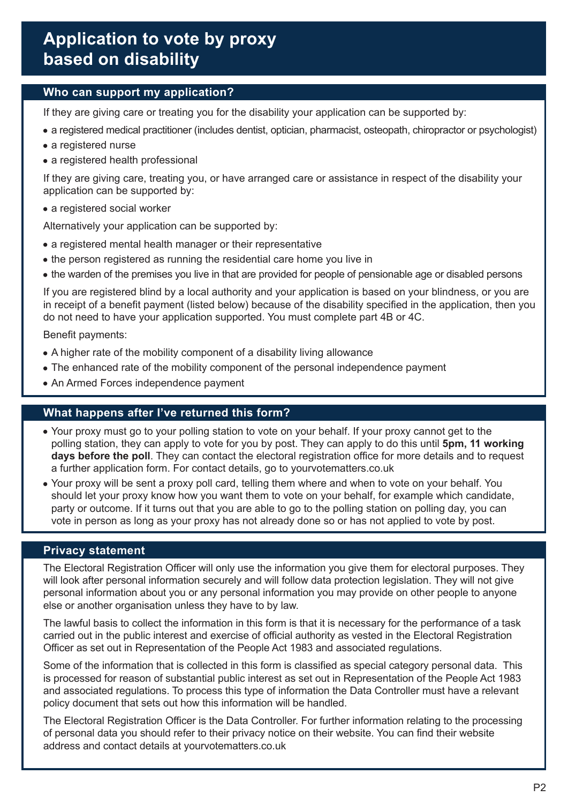# **Who can support my application?**

If they are giving care or treating you for the disability your application can be supported by:

- a registered medical practitioner (includes dentist, optician, pharmacist, osteopath, chiropractor or psychologist)
- a registered nurse
- a registered health professional

If they are giving care, treating you, or have arranged care or assistance in respect of the disability your application can be supported by:

• a registered social worker

Alternatively your application can be supported by:

- a registered mental health manager or their representative
- the person registered as running the residential care home you live in
- the warden of the premises you live in that are provided for people of pensionable age or disabled persons

If you are registered blind by a local authority and your application is based on your blindness, or you are in receipt of a benefit payment (listed below) because of the disability specified in the application, then you do not need to have your application supported. You must complete part 4B or 4C.

Benefit payments:

- A higher rate of the mobility component of a disability living allowance
- The enhanced rate of the mobility component of the personal independence payment
- An Armed Forces independence payment

## **What happens after I've returned this form?**

- Your proxy must go to your polling station to vote on your behalf. If your proxy cannot get to the polling station, they can apply to vote for you by post. They can apply to do this until **5pm, 11 working days before the poll**. They can contact the electoral registration office for more details and to request a further application form. For contact details, go to yourvotematters.co.uk
- Your proxy will be sent a proxy poll card, telling them where and when to vote on your behalf. You should let your proxy know how you want them to vote on your behalf, for example which candidate, party or outcome. If it turns out that you are able to go to the polling station on polling day, you can vote in person as long as your proxy has not already done so or has not applied to vote by post.

## **Privacy statement**

The Electoral Registration Officer will only use the information you give them for electoral purposes. They will look after personal information securely and will follow data protection legislation. They will not give personal information about you or any personal information you may provide on other people to anyone else or another organisation unless they have to by law.

The lawful basis to collect the information in this form is that it is necessary for the performance of a task carried out in the public interest and exercise of official authority as vested in the Electoral Registration Officer as set out in Representation of the People Act 1983 and associated regulations.

Some of the information that is collected in this form is classified as special category personal data. This is processed for reason of substantial public interest as set out in Representation of the People Act 1983 and associated regulations. To process this type of information the Data Controller must have a relevant policy document that sets out how this information will be handled.

The Electoral Registration Officer is the Data Controller. For further information relating to the processing of personal data you should refer to their privacy notice on their website. You can find their website address and contact details at yourvotematters.co.uk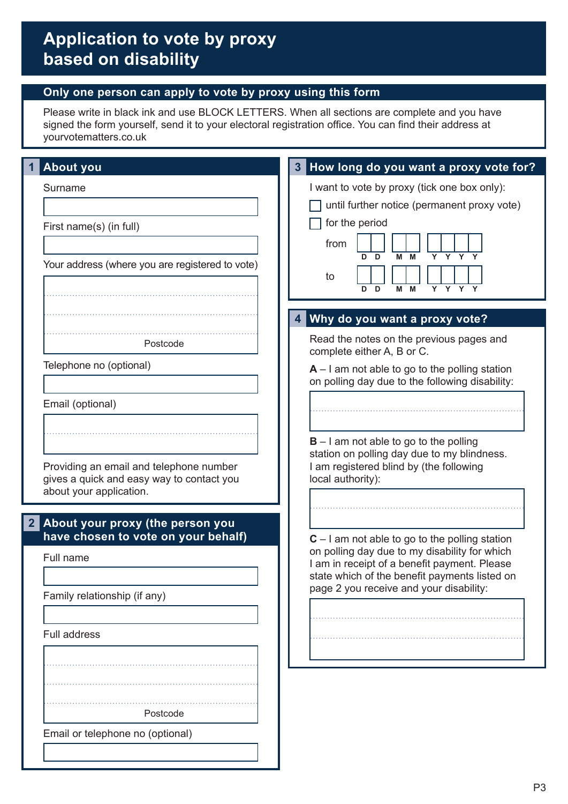## **Only one person can apply to vote by proxy using this form**

Please write in black ink and use BLOCK LETTERS. When all sections are complete and you have signed the form yourself, send it to your electoral registration office. You can find their address at yourvotematters.co.uk

| <b>About you</b>                                                     | How long do you want a proxy vote for?                                                              |
|----------------------------------------------------------------------|-----------------------------------------------------------------------------------------------------|
| Surname                                                              | I want to vote by proxy (tick one box only):                                                        |
|                                                                      | until further notice (permanent proxy vote)                                                         |
| First name(s) (in full)                                              | for the period                                                                                      |
|                                                                      | from<br>Y<br>D<br>M<br>D<br>М                                                                       |
| Your address (where you are registered to vote)                      | to                                                                                                  |
|                                                                      | Y Y Y Y<br>D<br>M<br>D<br>М                                                                         |
|                                                                      | Why do you want a proxy vote?<br>4                                                                  |
|                                                                      | Read the notes on the previous pages and                                                            |
| Postcode                                                             | complete either A, B or C.                                                                          |
| Telephone no (optional)                                              | $A - I$ am not able to go to the polling station<br>on polling day due to the following disability: |
| Email (optional)                                                     |                                                                                                     |
|                                                                      |                                                                                                     |
|                                                                      | $B - I$ am not able to go to the polling                                                            |
| Providing an email and telephone number                              | station on polling day due to my blindness.<br>I am registered blind by (the following              |
| gives a quick and easy way to contact you<br>about your application. | local authority):                                                                                   |
|                                                                      |                                                                                                     |
| About your proxy (the person you<br>$\mathbf{2}$                     |                                                                                                     |
| have chosen to vote on your behalf)                                  | $C - I$ am not able to go to the polling station<br>on polling day due to my disability for which   |
| Full name                                                            | I am in receipt of a benefit payment. Please<br>state which of the benefit payments listed on       |
| Family relationship (if any)                                         | page 2 you receive and your disability:                                                             |
|                                                                      |                                                                                                     |
| <b>Full address</b>                                                  |                                                                                                     |
|                                                                      |                                                                                                     |
|                                                                      |                                                                                                     |
|                                                                      |                                                                                                     |
| Postcode                                                             |                                                                                                     |
| Email or telephone no (optional)                                     |                                                                                                     |
|                                                                      |                                                                                                     |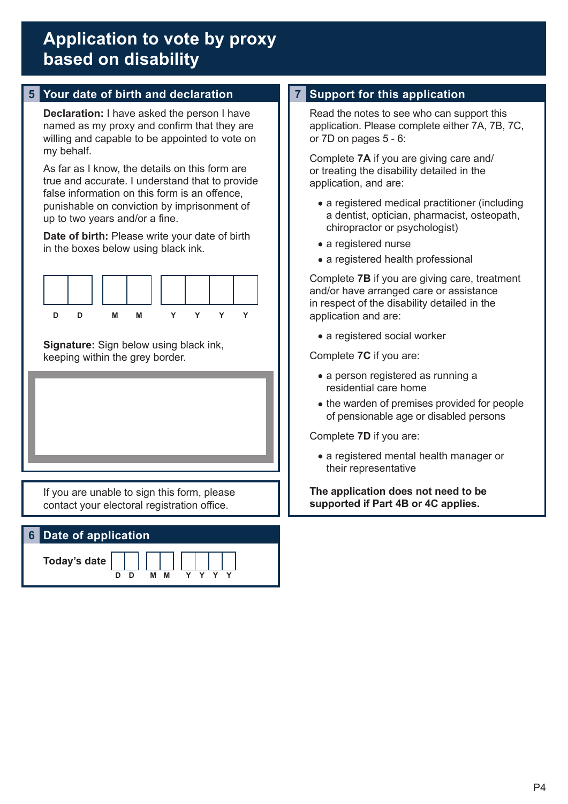# **5 Your date of birth and declaration 7 Support for this application**

**Declaration:** I have asked the person I have named as my proxy and confirm that they are willing and capable to be appointed to vote on my behalf.

As far as I know, the details on this form are true and accurate. I understand that to provide false information on this form is an offence, punishable on conviction by imprisonment of up to two years and/or a fine.

**Date of birth:** Please write your date of birth in the boxes below using black ink.



**Signature:** Sign below using black ink, keeping within the grey border.

If you are unable to sign this form, please contact your electoral registration office.

# **6 Date of application**

**D D M M Y Y Y Y**

**Today's date**

Read the notes to see who can support this application. Please complete either 7A, 7B, 7C, or 7D on pages 5 - 6:

Complete **7A** if you are giving care and/ or treating the disability detailed in the application, and are:

- a registered medical practitioner (including a dentist, optician, pharmacist, osteopath, chiropractor or psychologist)
- a registered nurse
- a registered health professional

Complete **7B** if you are giving care, treatment and/or have arranged care or assistance in respect of the disability detailed in the application and are:

• a registered social worker

Complete **7C** if you are:

- a person registered as running a residential care home
- the warden of premises provided for people of pensionable age or disabled persons

Complete **7D** if you are:

 a registered mental health manager or their representative

**The application does not need to be supported if Part 4B or 4C applies.**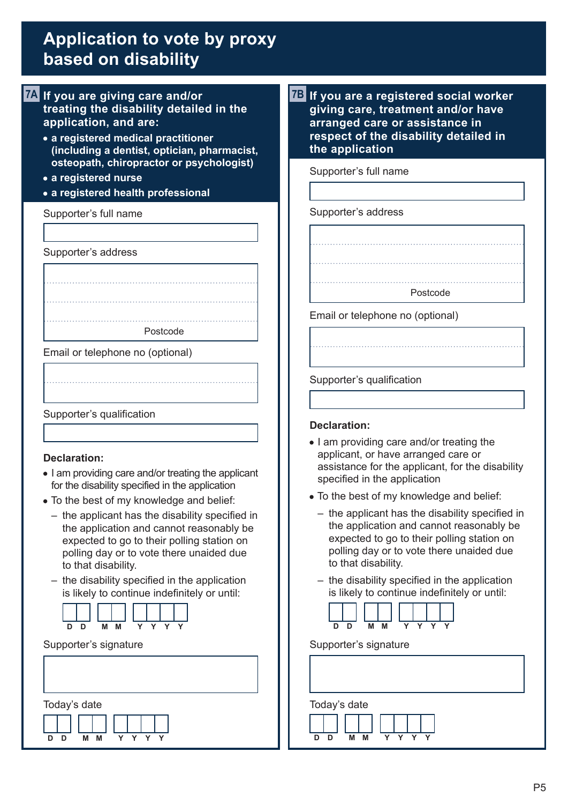- **7A If you are giving care and/or treating the disability detailed in the application, and are:**
	- **a registered medical practitioner (including a dentist, optician, pharmacist, osteopath, chiropractor or psychologist)**
	- **a registered nurse**
	- **a registered health professional**

Supporter's full name

Supporter's address

Postcode

Email or telephone no (optional)



#### **Declaration:**

- I am providing care and/or treating the applicant for the disability specified in the application
- To the best of my knowledge and belief:
	- the applicant has the disability specified in the application and cannot reasonably be expected to go to their polling station on polling day or to vote there unaided due to that disability.
	- the disability specified in the application is likely to continue indefinitely or until:



#### Supporter's signature



**7B If you are a registered social worker giving care, treatment and/or have arranged care or assistance in respect of the disability detailed in the application**

Supporter's full name

Supporter's address



Supporter's qualification

#### **Declaration:**

- I am providing care and/or treating the applicant, or have arranged care or assistance for the applicant, for the disability specified in the application
- To the best of my knowledge and belief:
	- the applicant has the disability specified in the application and cannot reasonably be expected to go to their polling station on polling day or to vote there unaided due to that disability.
	- the disability specified in the application is likely to continue indefinitely or until:



Supporter's signature

**D D M M Y Y Y Y**